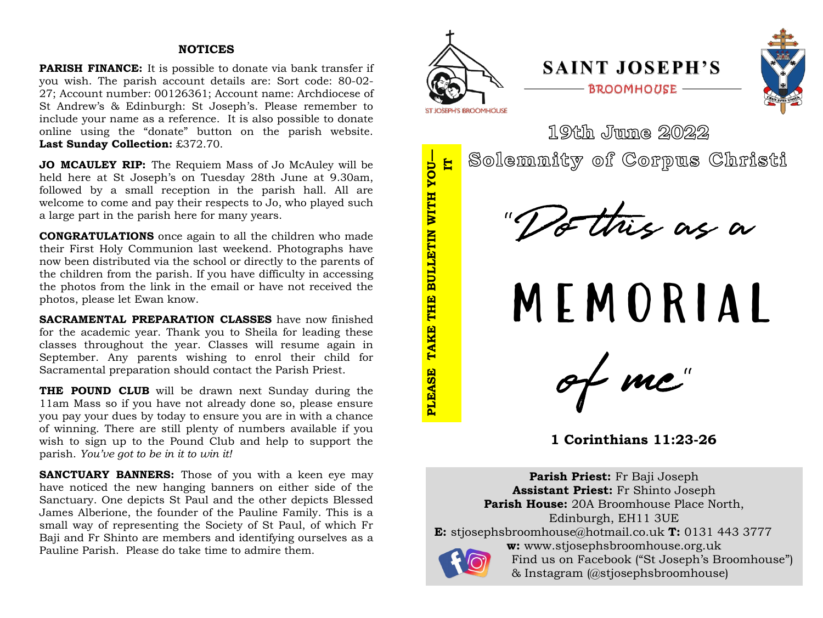### **NOTICES**

**PARISH FINANCE:** It is possible to donate via bank transfer if you wish. The parish account details are: Sort code: 80-02- 27; Account number: 00126361; Account name: Archdiocese of St Andrew's & Edinburgh: St Joseph's. Please remember to include your name as a reference. It is also possible to donate online using the "donate" button on the parish website. **Last Sunday Collection:** £372.70.

**JO MCAULEY RIP:** The Requiem Mass of Jo McAuley will be held here at St Joseph's on Tuesday 28th June at 9.30am, followed by a small reception in the parish hall. All are welcome to come and pay their respects to Jo, who played such a large part in the parish here for many years.

**CONGRATULATIONS** once again to all the children who made their First Holy Communion last weekend. Photographs have now been distributed via the school or directly to the parents of the children from the parish. If you have difficulty in accessing the photos from the link in the email or have not received the photos, please let Ewan know.

**SACRAMENTAL PREPARATION CLASSES** have now finished for the academic year. Thank you to Sheila for leading these classes throughout the year. Classes will resume again in September. Any parents wishing to enrol their child for Sacramental preparation should contact the Parish Priest.

**THE POUND CLUB** will be drawn next Sunday during the 11am Mass so if you have not already done so, please ensure you pay your dues by today to ensure you are in with a chance of winning. There are still plenty of numbers available if you wish to sign up to the Pound Club and help to support the parish. *You've got to be in it to win it!*

**SANCTUARY BANNERS:** Those of you with a keen eye may have noticed the new hanging banners on either side of the Sanctuary. One depicts St Paul and the other depicts Blessed James Alberione, the founder of the Pauline Family. This is a small way of representing the Society of St Paul, of which Fr Baji and Fr Shinto are members and identifying ourselves as a Pauline Parish. Please do take time to admire them.



**PLEASE TAKE THE BULLETIN WITH YOU**

PLEASE

TAKE THE BULLETIN WITH YOU-

**IT** 

# **SAINT JOSEPH'S BROOMHOUSE**



19th Jung 2022

Solemnity of Corpus Christi

this as a

m em ori a l

of me"

**1 Corinthians 11:23-26**

**Parish Priest:** Fr Baji Joseph **Assistant Priest:** Fr Shinto Joseph **Parish House:** 20A Broomhouse Place North, Edinburgh, EH11 3UE **E:** stjosephsbroomhouse@hotmail.co.uk **T:** 0131 443 3777 **w:** www.stjosephsbroomhouse.org.uk Find us on Facebook ("St Joseph's Broomhouse") & Instagram (@stjosephsbroomhouse)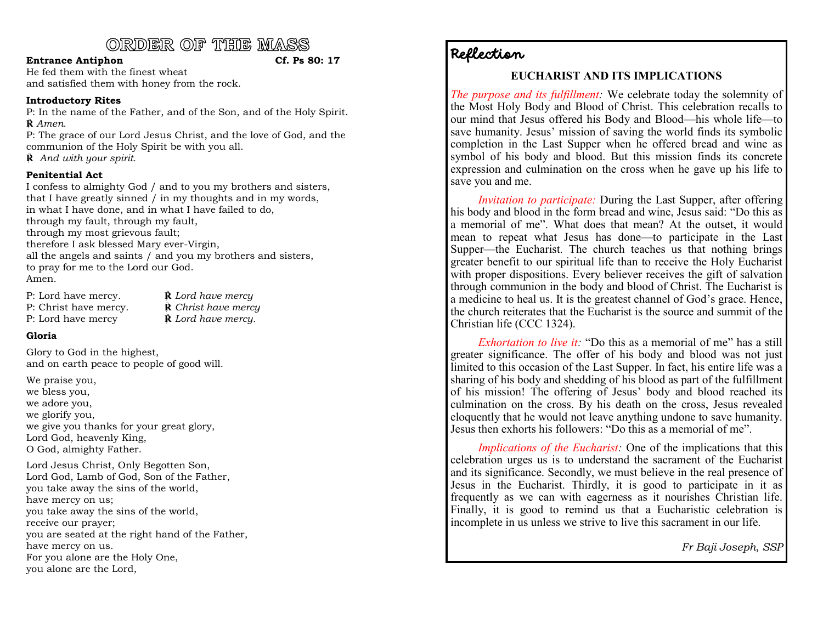## ORDER OF THE MASS

#### **Entrance Antiphon Cf. Ps 80: 17**

He fed them with the finest wheat and satisfied them with honey from the rock.

#### **Introductory Rites**

P: In the name of the Father, and of the Son, and of the Holy Spirit. **℟** *Amen.*

P: The grace of our Lord Jesus Christ, and the love of God, and the communion of the Holy Spirit be with you all. **℟** *And with your spirit.*

#### **Penitential Act**

I confess to almighty God / and to you my brothers and sisters, that I have greatly sinned / in my thoughts and in my words, in what I have done, and in what I have failed to do, through my fault, through my fault, through my most grievous fault; therefore I ask blessed Mary ever-Virgin, all the angels and saints / and you my brothers and sisters, to pray for me to the Lord our God. Amen.

| P: Lord have mercy.   | $\dot{\mathbb{R}}$ Lord have mercy   |
|-----------------------|--------------------------------------|
| P: Christ have mercy. | $\dot{\mathbb{R}}$ Christ have mercy |
| P: Lord have mercy    | $\dot{\mathbf{R}}$ Lord have mercy.  |

#### **Gloria**

Glory to God in the highest, and on earth peace to people of good will.

We praise you, we bless you, we adore you, we glorify you, we give you thanks for your great glory, Lord God, heavenly King, O God, almighty Father.

Lord Jesus Christ, Only Begotten Son, Lord God, Lamb of God, Son of the Father, you take away the sins of the world, have mercy on us; you take away the sins of the world, receive our prayer; you are seated at the right hand of the Father, have mercy on us. For you alone are the Holy One, you alone are the Lord,

## Reflection

### **EUCHARIST AND ITS IMPLICATIONS**

*The purpose and its fulfillment:* We celebrate today the solemnity of the Most Holy Body and Blood of Christ. This celebration recalls to our mind that Jesus offered his Body and Blood—his whole life—to save humanity. Jesus' mission of saving the world finds its symbolic completion in the Last Supper when he offered bread and wine as symbol of his body and blood. But this mission finds its concrete expression and culmination on the cross when he gave up his life to save you and me.

*Invitation to participate:* During the Last Supper, after offering his body and blood in the form bread and wine, Jesus said: "Do this as a memorial of me". What does that mean? At the outset, it would mean to repeat what Jesus has done—to participate in the Last Supper—the Eucharist. The church teaches us that nothing brings greater benefit to our spiritual life than to receive the Holy Eucharist with proper dispositions. Every believer receives the gift of salvation through communion in the body and blood of Christ. The Eucharist is a medicine to heal us. It is the greatest channel of God's grace. Hence, the church reiterates that the Eucharist is the source and summit of the Christian life (CCC 1324).

*Exhortation to live it:* "Do this as a memorial of me" has a still greater significance. The offer of his body and blood was not just limited to this occasion of the Last Supper. In fact, his entire life was a sharing of his body and shedding of his blood as part of the fulfillment of his mission! The offering of Jesus' body and blood reached its culmination on the cross. By his death on the cross, Jesus revealed eloquently that he would not leave anything undone to save humanity. Jesus then exhorts his followers: "Do this as a memorial of me".

*Implications of the Eucharist:* One of the implications that this celebration urges us is to understand the sacrament of the Eucharist and its significance. Secondly, we must believe in the real presence of Jesus in the Eucharist. Thirdly, it is good to participate in it as frequently as we can with eagerness as it nourishes Christian life. Finally, it is good to remind us that a Eucharistic celebration is incomplete in us unless we strive to live this sacrament in our life.

*Fr Baji Joseph, SSP*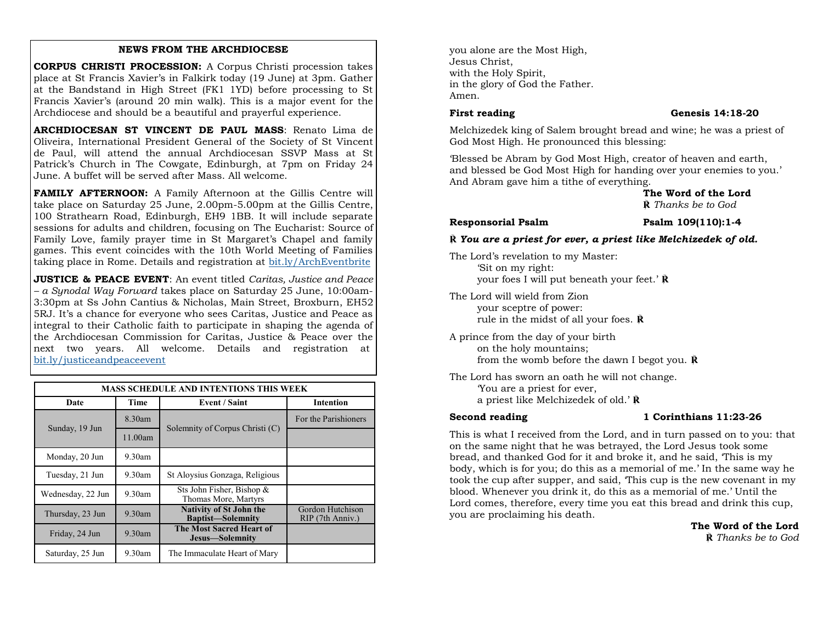#### **NEWS FROM THE ARCHDIOCESE**

**CORPUS CHRISTI PROCESSION:** A Corpus Christi procession takes place at St Francis Xavier's in Falkirk today (19 June) at 3pm. Gather at the Bandstand in High Street (FK1 1YD) before processing to St Francis Xavier's (around 20 min walk). This is a major event for the Archdiocese and should be a beautiful and prayerful experience.

**ARCHDIOCESAN ST VINCENT DE PAUL MASS**: Renato Lima de Oliveira, International President General of the Society of St Vincent de Paul, will attend the annual Archdiocesan SSVP Mass at St Patrick's Church in The Cowgate, Edinburgh, at 7pm on Friday 24 June. A buffet will be served after Mass. All welcome.

**FAMILY AFTERNOON:** A Family Afternoon at the Gillis Centre will take place on Saturday 25 June, 2.00pm-5.00pm at the Gillis Centre, 100 Strathearn Road, Edinburgh, EH9 1BB. It will include separate sessions for adults and children, focusing on The Eucharist: Source of Family Love, family prayer time in St Margaret's Chapel and family games. This event coincides with the 10th World Meeting of Families taking place in Rome. Details and registration at <bit.ly/ArchEventbrite>

**JUSTICE & PEACE EVENT**: An event titled *Caritas, Justice and Peace – a Synodal Way Forward* takes place on Saturday 25 June, 10:00am-3:30pm at Ss John Cantius & Nicholas, Main Street, Broxburn, EH52 5RJ. It's a chance for everyone who sees Caritas, Justice and Peace as integral to their Catholic faith to participate in shaping the agenda of the Archdiocesan Commission for Caritas, Justice & Peace over the next two years. All welcome. Details and registration at <bit.ly/justiceandpeaceevent>

| <b>MASS SCHEDULE AND INTENTIONS THIS WEEK</b> |           |                                                            |                                      |
|-----------------------------------------------|-----------|------------------------------------------------------------|--------------------------------------|
| Date                                          | Time      | <b>Event / Saint</b>                                       | <b>Intention</b>                     |
|                                               | 8.30am    | Solemnity of Corpus Christi (C)                            | For the Parishioners                 |
| Sunday, 19 Jun                                | 11.00am   |                                                            |                                      |
| Monday, 20 Jun                                | $9.30$ am |                                                            |                                      |
| Tuesday, 21 Jun                               | $9.30$ am | St Aloysius Gonzaga, Religious                             |                                      |
| Wednesday, 22 Jun                             | $9.30$ am | Sts John Fisher, Bishop &<br>Thomas More, Martyrs          |                                      |
| Thursday, 23 Jun                              | $9.30$ am | <b>Nativity of St John the</b><br><b>Baptist-Solemnity</b> | Gordon Hutchison<br>RIP (7th Anniv.) |
| Friday, 24 Jun                                | $9.30$ am | The Most Sacred Heart of<br>Jesus-Solemnity                |                                      |
| Saturday, 25 Jun                              | $9.30$ am | The Immaculate Heart of Mary                               |                                      |

you alone are the Most High, Jesus Christ, with the Holy Spirit, in the glory of God the Father. Amen.

#### **First reading Genesis 14:18-20**

Melchizedek king of Salem brought bread and wine; he was a priest of God Most High. He pronounced this blessing:

'Blessed be Abram by God Most High, creator of heaven and earth, and blessed be God Most High for handing over your enemies to you.' And Abram gave him a tithe of everything.

> **The Word of the Lord ℟** *Thanks be to God*

#### **Responsorial Psalm Psalm 109(110):1-4**

#### **℟** *You are a priest for ever, a priest like Melchizedek of old.*

The Lord's revelation to my Master: 'Sit on my right: your foes I will put beneath your feet.' **℟**

The Lord will wield from Zion your sceptre of power: rule in the midst of all your foes. **℟**

A prince from the day of your birth on the holy mountains; from the womb before the dawn I begot you. **℟**

The Lord has sworn an oath he will not change. 'You are a priest for ever, a priest like Melchizedek of old.' **℟**

#### **Second reading 1 Corinthians 11:23-26**

This is what I received from the Lord, and in turn passed on to you: that on the same night that he was betrayed, the Lord Jesus took some bread, and thanked God for it and broke it, and he said, 'This is my body, which is for you; do this as a memorial of me.' In the same way he took the cup after supper, and said, 'This cup is the new covenant in my blood. Whenever you drink it, do this as a memorial of me.' Until the Lord comes, therefore, every time you eat this bread and drink this cup, you are proclaiming his death.

 **The Word of the Lord ℟** *Thanks be to God*